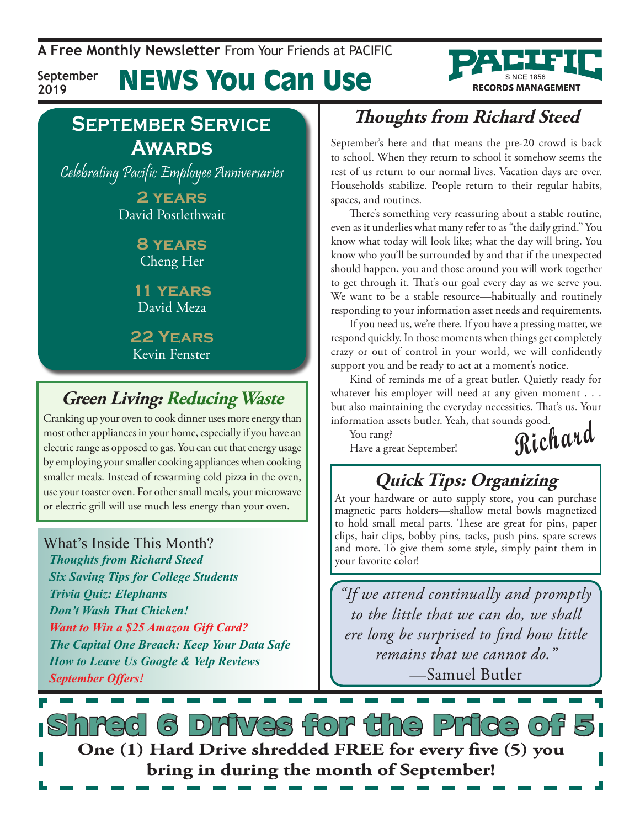**A Free Monthly Newsletter** From Your Friends at Pacific

**September 2019**

News You Can Use



### **September Service Awards**

Celebrating Pacific Employee Anniversaries

**2 years** David Postlethwait

> **8 years** Cheng Her

**11 years** David Meza

**22 Years** Kevin Fenster

### **Green Living: Reducing Waste**

Cranking up your oven to cook dinner uses more energy than most other appliances in your home, especially if you have an electric range as opposed to gas. You can cut that energy usage by employing your smaller cooking appliances when cooking smaller meals. Instead of rewarming cold pizza in the oven, use your toaster oven. For other small meals, your microwave or electric grill will use much less energy than your oven.

#### What's Inside This Month?

*Thoughts from Richard Steed Six Saving Tips for College Students Trivia Quiz: Elephants Don't Wash That Chicken! Want to Win a \$25 Amazon Gift Card? The Capital One Breach: Keep Your Data Safe How to Leave Us Google & Yelp Reviews September Offers!*

### **Thoughts from Richard Steed**

September's here and that means the pre-20 crowd is back to school. When they return to school it somehow seems the rest of us return to our normal lives. Vacation days are over. Households stabilize. People return to their regular habits, spaces, and routines.

There's something very reassuring about a stable routine, even as it underlies what many refer to as "the daily grind." You know what today will look like; what the day will bring. You know who you'll be surrounded by and that if the unexpected should happen, you and those around you will work together to get through it. That's our goal every day as we serve you. We want to be a stable resource—habitually and routinely responding to your information asset needs and requirements.

If you need us, we're there. If you have a pressing matter, we respond quickly. In those moments when things get completely crazy or out of control in your world, we will confidently support you and be ready to act at a moment's notice.

Kind of reminds me of a great butler. Quietly ready for whatever his employer will need at any given moment . . . but also maintaining the everyday necessities. That's us. Your information assets butler. Yeah, that sounds good.

You rang? Have a great September! **Richard**

## **Quick Tips: Organizing**

At your hardware or auto supply store, you can purchase magnetic parts holders—shallow metal bowls magnetized to hold small metal parts. These are great for pins, paper clips, hair clips, bobby pins, tacks, push pins, spare screws and more. To give them some style, simply paint them in your favorite color!

*"If we attend continually and promptly to the little that we can do, we shall ere long be surprised to find how little remains that we cannot do."*  —Samuel Butler

S Drives for the Price of **One (1) Hard Drive shredded FREE for every five (5) you bring in during the month of September!**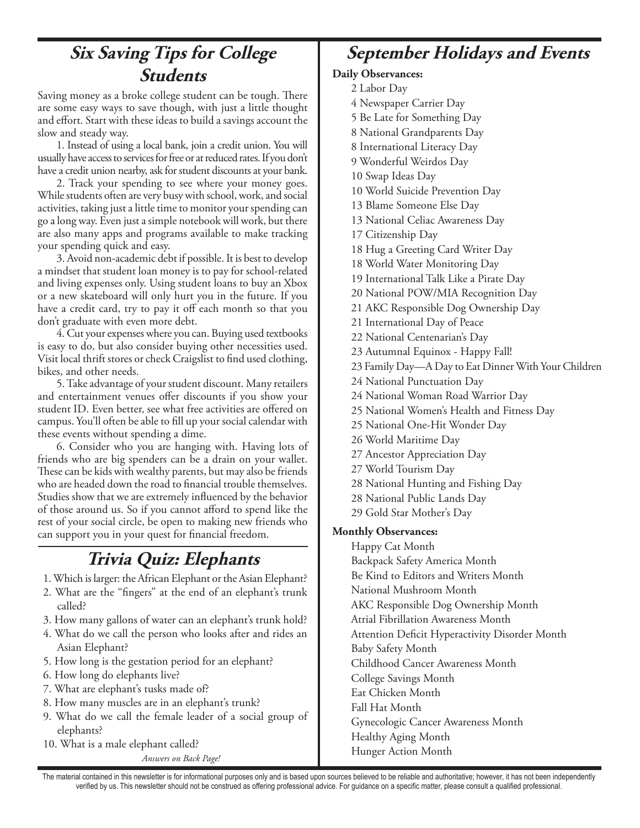### **Six Saving Tips for College Students**

Saving money as a broke college student can be tough. There are some easy ways to save though, with just a little thought and effort. Start with these ideas to build a savings account the slow and steady way.

1. Instead of using a local bank, join a credit union. You will usually have access to services for free or at reduced rates. If you don't have a credit union nearby, ask for student discounts at your bank.

2. Track your spending to see where your money goes. While students often are very busy with school, work, and social activities, taking just a little time to monitor your spending can go a long way. Even just a simple notebook will work, but there are also many apps and programs available to make tracking your spending quick and easy.

3. Avoid non-academic debt if possible. It is best to develop a mindset that student loan money is to pay for school-related and living expenses only. Using student loans to buy an Xbox or a new skateboard will only hurt you in the future. If you have a credit card, try to pay it off each month so that you don't graduate with even more debt.

4. Cut your expenses where you can. Buying used textbooks is easy to do, but also consider buying other necessities used. Visit local thrift stores or check Craigslist to find used clothing, bikes, and other needs.

5. Take advantage of your student discount. Many retailers and entertainment venues offer discounts if you show your student ID. Even better, see what free activities are offered on campus. You'll often be able to fill up your social calendar with these events without spending a dime.

6. Consider who you are hanging with. Having lots of friends who are big spenders can be a drain on your wallet. These can be kids with wealthy parents, but may also be friends who are headed down the road to financial trouble themselves. Studies show that we are extremely influenced by the behavior of those around us. So if you cannot afford to spend like the rest of your social circle, be open to making new friends who can support you in your quest for financial freedom.

#### **Trivia Quiz: Elephants**

- 1. Which is larger: the African Elephant or the Asian Elephant?
- 2. What are the "fingers" at the end of an elephant's trunk called?
- 3. How many gallons of water can an elephant's trunk hold?
- 4. What do we call the person who looks after and rides an Asian Elephant?
- 5. How long is the gestation period for an elephant?
- 6. How long do elephants live?
- 7. What are elephant's tusks made of?
- 8. How many muscles are in an elephant's trunk?
- 9. What do we call the female leader of a social group of elephants?
- 10. What is a male elephant called?

*Answers on Back Page!*

#### **September Holidays and Events**

#### **Daily Observances:**

2 Labor Day

- 4 Newspaper Carrier Day
- 5 Be Late for Something Day
- 8 National Grandparents Day
- 8 International Literacy Day
- 9 Wonderful Weirdos Day
- 10 Swap Ideas Day
- 10 World Suicide Prevention Day
- 13 Blame Someone Else Day
- 13 National Celiac Awareness Day
- 17 Citizenship Day
- 18 Hug a Greeting Card Writer Day
- 18 World Water Monitoring Day
- 19 International Talk Like a Pirate Day
- 20 National POW/MIA Recognition Day
- 21 AKC Responsible Dog Ownership Day
- 21 International Day of Peace
- 22 National Centenarian's Day
- 23 Autumnal Equinox Happy Fall!
- 23 Family Day—A Day to Eat Dinner With Your Children
- 24 National Punctuation Day
- 24 National Woman Road Warrior Day
- 25 National Women's Health and Fitness Day
- 25 National One-Hit Wonder Day
- 26 World Maritime Day
- 27 Ancestor Appreciation Day
- 27 World Tourism Day
- 28 National Hunting and Fishing Day
- 28 National Public Lands Day
- 29 Gold Star Mother's Day

#### **Monthly Observances:**

Happy Cat Month Backpack Safety America Month Be Kind to Editors and Writers Month National Mushroom Month AKC Responsible Dog Ownership Month Atrial Fibrillation Awareness Month Attention Deficit Hyperactivity Disorder Month Baby Safety Month Childhood Cancer Awareness Month College Savings Month Eat Chicken Month Fall Hat Month Gynecologic Cancer Awareness Month Healthy Aging Month Hunger Action Month

The material contained in this newsletter is for informational purposes only and is based upon sources believed to be reliable and authoritative; however, it has not been independently verified by us. This newsletter should not be construed as offering professional advice. For guidance on a specific matter, please consult a qualified professional.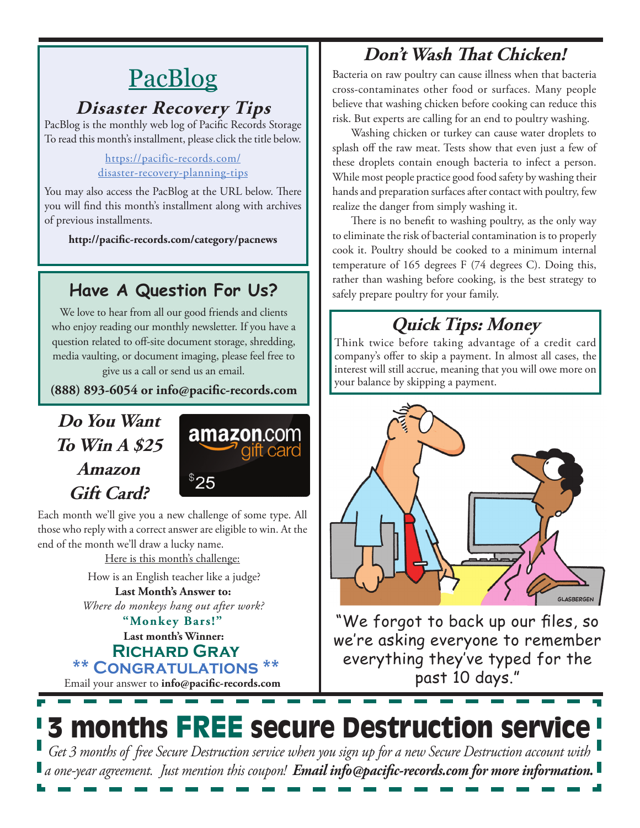# **PacBlog**

#### **Disaster Recovery Tips**

PacBlog is the monthly web log of Pacific Records Storage To read this month's installment, please click the title below.

#### [https://pacific-records.com/](https://pacific-records.com/disaster-recovery-planning-tips) [disaster-recovery-planning-tips](https://pacific-records.com/disaster-recovery-planning-tips)

You may also access the PacBlog at the URL below. There you will find this month's installment along with archives of previous installments.

**http://pacific-records.com/category/pacnews**

### **Have A Question For Us?**

We love to hear from all our good friends and clients who enjoy reading our monthly newsletter. If you have a question related to off-site document storage, shredding, media vaulting, or document imaging, please feel free to give us a call or send us an email.

**(888) 893-6054 or info@pacific-records.com**

### **Do You Want To Win A \$25 Amazon Gift Card?**



Each month we'll give you a new challenge of some type. All those who reply with a correct answer are eligible to win. At the end of the month we'll draw a lucky name.

Here is this month's challenge:

**Last Month's Answer to:**  How is an English teacher like a judge?

*Where do monkeys hang out after work?*

#### **Last month's Winner: Richard Gray**  $$ **"Monkey Bars!"**

Email your answer to **info@pacific-records.com**

### **Don't Wash That Chicken!**

Bacteria on raw poultry can cause illness when that bacteria cross-contaminates other food or surfaces. Many people believe that washing chicken before cooking can reduce this risk. But experts are calling for an end to poultry washing.

Washing chicken or turkey can cause water droplets to splash off the raw meat. Tests show that even just a few of these droplets contain enough bacteria to infect a person. While most people practice good food safety by washing their hands and preparation surfaces after contact with poultry, few realize the danger from simply washing it.

There is no benefit to washing poultry, as the only way to eliminate the risk of bacterial contamination is to properly cook it. Poultry should be cooked to a minimum internal temperature of 165 degrees F (74 degrees C). Doing this, rather than washing before cooking, is the best strategy to safely prepare poultry for your family.

# **Quick Tips: Money**

Think twice before taking advantage of a credit card company's offer to skip a payment. In almost all cases, the interest will still accrue, meaning that you will owe more on your balance by skipping a payment.



"We forgot to back up our files, so we're asking everyone to remember everything they've typed for the past 10 days."

# 3 months FREE secure Destruction service

*Get 3 months of free Secure Destruction service when you sign up for a new Secure Destruction account with a one-year agreement. Just mention this coupon! Email info@pacific-records.com for more information.*